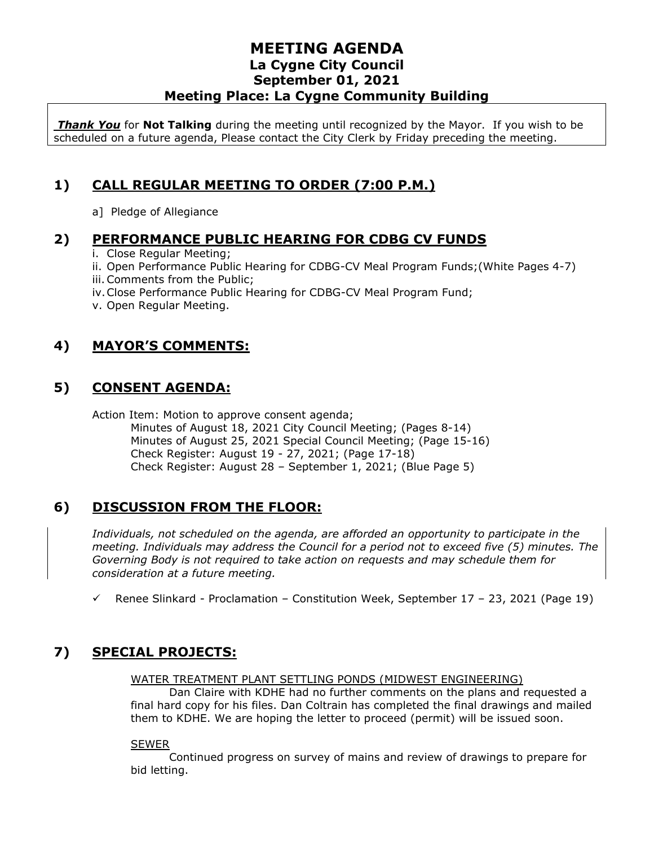*Thank You* for **Not Talking** during the meeting until recognized by the Mayor. If you wish to be scheduled on a future agenda, Please contact the City Clerk by Friday preceding the meeting.

# **1) CALL REGULAR MEETING TO ORDER (7:00 P.M.)**

a] Pledge of Allegiance

#### **2) PERFORMANCE PUBLIC HEARING FOR CDBG CV FUNDS**

- i. Close Regular Meeting;
- ii. Open Performance Public Hearing for CDBG-CV Meal Program Funds;(White Pages 4-7)
- iii.Comments from the Public;
- iv.Close Performance Public Hearing for CDBG-CV Meal Program Fund;
- v. Open Regular Meeting.

## **4) MAYOR'S COMMENTS:**

## **5) CONSENT AGENDA:**

Action Item: Motion to approve consent agenda;

Minutes of August 18, 2021 City Council Meeting; (Pages 8-14) Minutes of August 25, 2021 Special Council Meeting; (Page 15-16) Check Register: August 19 - 27, 2021; (Page 17-18) Check Register: August 28 – September 1, 2021; (Blue Page 5)

## **6) DISCUSSION FROM THE FLOOR:**

*Individuals, not scheduled on the agenda, are afforded an opportunity to participate in the meeting. Individuals may address the Council for a period not to exceed five (5) minutes. The Governing Body is not required to take action on requests and may schedule them for consideration at a future meeting.* 

 $\checkmark$  Renee Slinkard - Proclamation – Constitution Week, September 17 – 23, 2021 (Page 19)

## **7) SPECIAL PROJECTS:**

#### WATER TREATMENT PLANT SETTLING PONDS (MIDWEST ENGINEERING)

Dan Claire with KDHE had no further comments on the plans and requested a final hard copy for his files. Dan Coltrain has completed the final drawings and mailed them to KDHE. We are hoping the letter to proceed (permit) will be issued soon.

#### SEWER

Continued progress on survey of mains and review of drawings to prepare for bid letting.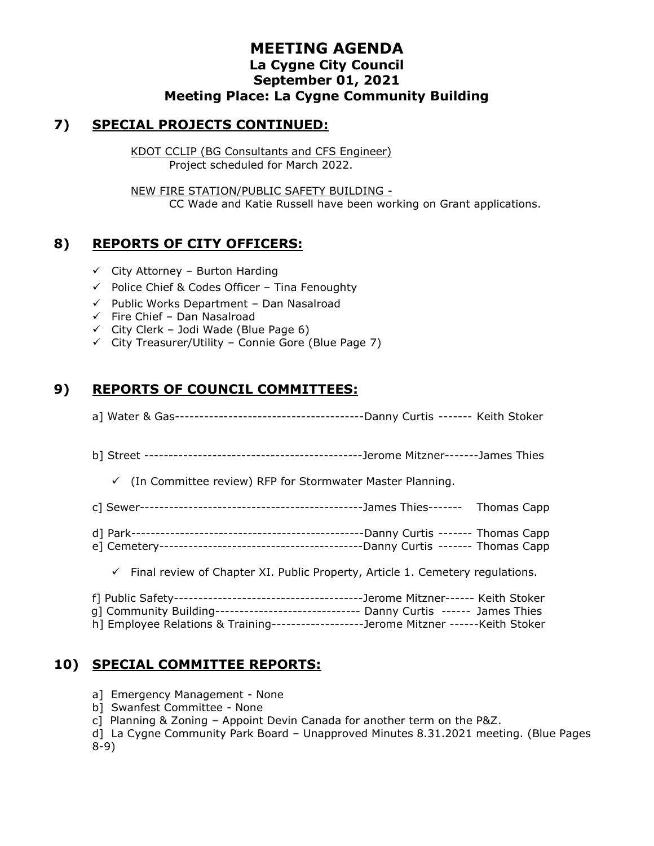#### **7) SPECIAL PROJECTS CONTINUED:**

KDOT CCLIP (BG Consultants and CFS Engineer) Project scheduled for March 2022.

NEW FIRE STATION/PUBLIC SAFETY BUILDING - CC Wade and Katie Russell have been working on Grant applications.

#### **8) REPORTS OF CITY OFFICERS:**

- $\checkmark$  City Attorney Burton Harding
- ✓ Police Chief & Codes Officer Tina Fenoughty
- ✓ Public Works Department Dan Nasalroad
- $\checkmark$  Fire Chief Dan Nasalroad
- $\checkmark$  City Clerk Jodi Wade (Blue Page 6)
- $\checkmark$  City Treasurer/Utility Connie Gore (Blue Page 7)

## **9) REPORTS OF COUNCIL COMMITTEES:**

- a] Water & Gas---------------------------------------Danny Curtis ------- Keith Stoker
- b] Street ---------------------------------------------Jerome Mitzner-------James Thies

✓ (In Committee review) RFP for Stormwater Master Planning.

- c] Sewer----------------------------------------------James Thies------- Thomas Capp
- d] Park------------------------------------------------Danny Curtis ------- Thomas Capp
- e] Cemetery------------------------------------------Danny Curtis ------- Thomas Capp
	- $\checkmark$  Final review of Chapter XI. Public Property, Article 1. Cemetery regulations.

| g] Community Building------------------------------- Danny Curtis ------ James Thies |
|--------------------------------------------------------------------------------------|
| h] Employee Relations & Training-------------------Jerome Mitzner ------Keith Stoker |

#### **10) SPECIAL COMMITTEE REPORTS:**

- a] Emergency Management None
- b] Swanfest Committee None
- c] Planning & Zoning Appoint Devin Canada for another term on the P&Z.
- d] La Cygne Community Park Board Unapproved Minutes 8.31.2021 meeting. (Blue Pages 8-9)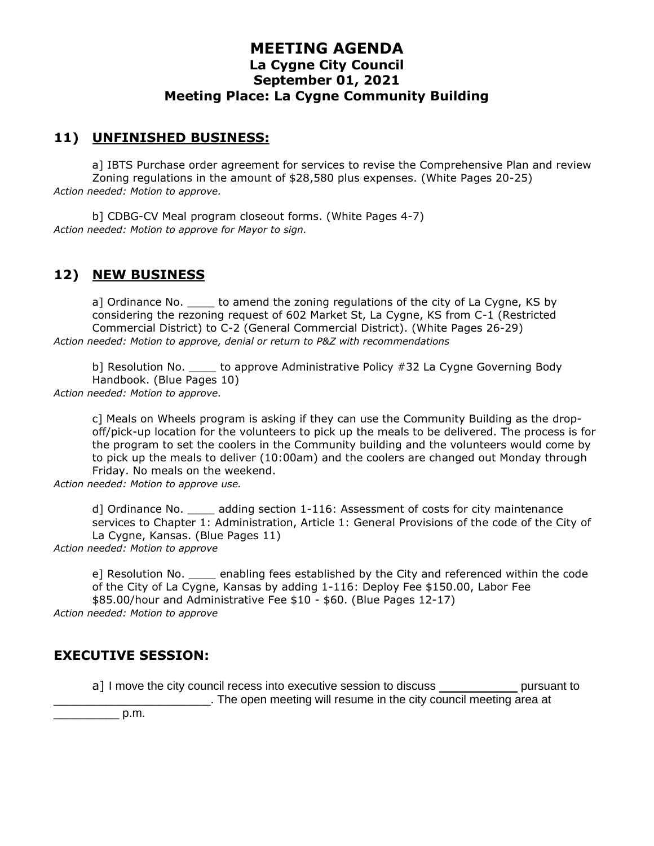#### **11) UNFINISHED BUSINESS:**

a] IBTS Purchase order agreement for services to revise the Comprehensive Plan and review Zoning regulations in the amount of \$28,580 plus expenses. (White Pages 20-25) *Action needed: Motion to approve.*

b] CDBG-CV Meal program closeout forms. (White Pages 4-7) *Action needed: Motion to approve for Mayor to sign.*

## **12) NEW BUSINESS**

a] Ordinance No. \_\_\_\_ to amend the zoning regulations of the city of La Cygne, KS by considering the rezoning request of 602 Market St, La Cygne, KS from C-1 (Restricted Commercial District) to C-2 (General Commercial District). (White Pages 26-29) *Action needed: Motion to approve, denial or return to P&Z with recommendations*

b] Resolution No. \_\_\_\_\_ to approve Administrative Policy #32 La Cygne Governing Body Handbook. (Blue Pages 10) *Action needed: Motion to approve.*

c] Meals on Wheels program is asking if they can use the Community Building as the dropoff/pick-up location for the volunteers to pick up the meals to be delivered. The process is for the program to set the coolers in the Community building and the volunteers would come by to pick up the meals to deliver (10:00am) and the coolers are changed out Monday through Friday. No meals on the weekend.

*Action needed: Motion to approve use.*

d] Ordinance No. \_\_\_\_ adding section 1-116: Assessment of costs for city maintenance services to Chapter 1: Administration, Article 1: General Provisions of the code of the City of La Cygne, Kansas. (Blue Pages 11)

*Action needed: Motion to approve*

e] Resolution No. \_\_\_\_ enabling fees established by the City and referenced within the code of the City of La Cygne, Kansas by adding 1-116: Deploy Fee \$150.00, Labor Fee \$85.00/hour and Administrative Fee \$10 - \$60. (Blue Pages 12-17)

*Action needed: Motion to approve*

#### **EXECUTIVE SESSION:**

a] I move the city council recess into executive session to discuss \_\_\_\_\_\_\_\_\_\_\_\_\_\_ pursuant to \_\_\_\_\_\_\_\_\_\_\_\_\_\_\_\_\_\_\_\_\_\_\_\_. The open meeting will resume in the city council meeting area at

 $p.m.$